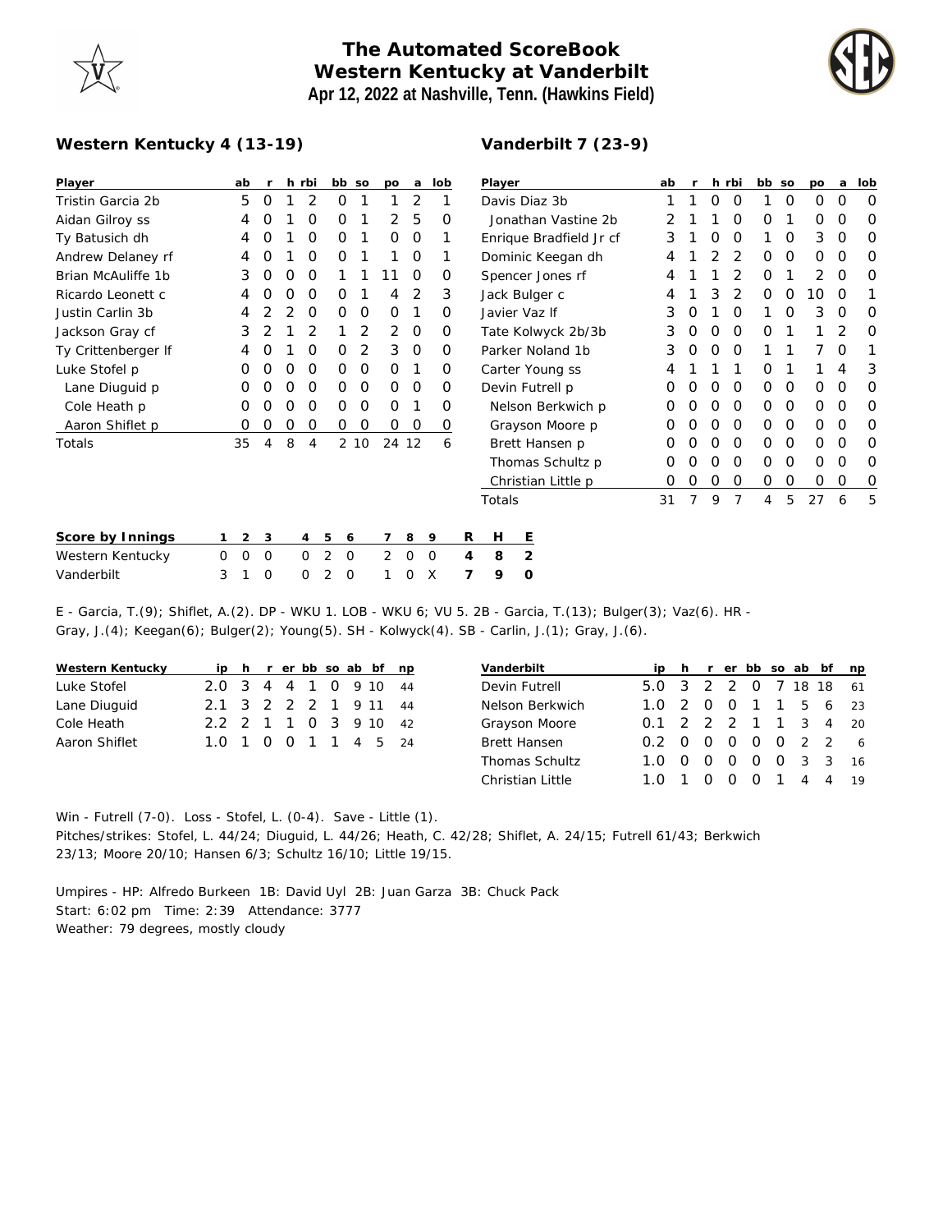## **The Automated ScoreBook Western Kentucky at Vanderbilt Apr 12, 2022 at Nashville, Tenn. (Hawkins Field)**



## **Western Kentucky 4 (13-19)**

## **Vanderbilt 7 (23-9)**

| Player              |          | ab          | r        |   | h rbi    | bb so            |      | po       | $\mathbf{a}$ | lob      |   | Player                  |                  |  |  | ab |                |          | h rbi          | bb so |          | po | a        | lob      |
|---------------------|----------|-------------|----------|---|----------|------------------|------|----------|--------------|----------|---|-------------------------|------------------|--|--|----|----------------|----------|----------------|-------|----------|----|----------|----------|
| Tristin Garcia 2b   |          | 5           | 0        |   | 2        | 0                |      |          | 2            |          |   | Davis Diaz 3b           |                  |  |  |    | O              | $\Omega$ |                | 0     | 0        | 0  | $\Omega$ |          |
| Aidan Gilroy ss     |          | 4           | O        |   | Ο        | 0                |      | 2        | 5            | O        |   | Jonathan Vastine 2b     |                  |  |  | 2  |                |          | O              | Ο     |          | 0  | 0        | $\Omega$ |
| Ty Batusich dh      |          | 4           | O        |   | 0        | 0                |      | $\Omega$ | 0            |          |   | Enrique Bradfield Jr cf |                  |  |  | 3  |                | 0        | 0              |       | 0        | 3  | 0        | $\Omega$ |
| Andrew Delaney rf   |          | 4           | O        |   | Ο        | 0                |      |          | 0            |          |   | Dominic Keegan dh       |                  |  |  |    |                |          | 2              | O     | 0        | 0  | 0        | $\Omega$ |
| Brian McAuliffe 1b  |          | 3           | O        | O | O        |                  |      | 11       | 0            | Ο        |   |                         | Spencer Jones rf |  |  | 4  |                |          |                | Ο     |          | 2  | 0        | $\Omega$ |
| Ricardo Leonett c   |          |             |          | Ω | O        | O                |      |          | 2            | 3        |   | Jack Bulger c           |                  |  |  |    |                | 3        |                | Ο     | O        | 10 | $\Omega$ |          |
| Justin Carlin 3b    |          | 4           |          |   | $\Omega$ | 0                | 0    | $\Omega$ |              | $\Omega$ |   |                         | Javier Vaz If    |  |  | 3  | O              |          | O              |       | $\Omega$ | 3  | 0        | $\Omega$ |
| Jackson Gray cf     |          | 3           |          |   | 2        |                  | 2    | 2        | 0            | 0        |   | Tate Kolwyck 2b/3b      |                  |  |  | 3  | 0              | 0        | 0              | 0     |          |    | 2        | $\Omega$ |
| Ty Crittenberger If |          | 4           |          |   | 0        | 0                | 2    | 3        | $\Omega$     | $\Omega$ |   | Parker Noland 1b        |                  |  |  | 3  |                | Ο        | $\Omega$       |       |          |    | O        |          |
| Luke Stofel p       |          | Ο           | O        | O | 0        | 0                | 0    | $\Omega$ |              | 0        |   | Carter Young ss         |                  |  |  |    |                |          |                | 0     |          |    | 4        | 3        |
| Lane Diuguid p      |          | 0           | O        | O | 0        | 0                | 0    | 0        | 0            | 0        |   | Devin Futrell p         |                  |  |  | O  | O              | O        | 0              | 0     | 0        | 0  | 0        | 0        |
| Cole Heath p        |          | Ο           | Ο        | Ο | O        | 0                | 0    | $\Omega$ |              | Ο        |   | Nelson Berkwich p       |                  |  |  | Ο  | O              | Ο        | $\Omega$       | 0     | 0        | 0  | 0        | $\Omega$ |
| Aaron Shiflet p     |          | O           | Ω        | ი | Ο        | 0                | O    | 0        | 0            | 0        |   | Grayson Moore p         |                  |  |  |    |                | Ο        | O              | 0     | 0        | 0  | 0        | $\Omega$ |
| Totals              |          | 35          | 4        | 8 | 4        |                  | 2 10 | 24 12    |              | 6        |   |                         | Brett Hansen p   |  |  | Ο  | O              | O        | 0              | 0     | 0        | 0  | 0        | $\Omega$ |
|                     |          |             |          |   |          |                  |      |          |              |          |   | Thomas Schultz p        |                  |  |  | 0  | O              | Ο        | 0              | 0     | 0        | 0  | 0        | $\Omega$ |
|                     |          |             |          |   |          |                  |      |          |              |          |   | Christian Little p      |                  |  |  | 0  | O              | 0        | 0              | 0     | 0        | 0  | 0        | $\circ$  |
|                     |          |             |          |   |          |                  |      |          |              |          |   | Totals                  |                  |  |  | 31 | $\overline{7}$ | 9        | $\overline{7}$ | 4     | 5        | 27 | 6        | 5        |
|                     |          |             |          |   |          |                  |      |          |              |          |   |                         |                  |  |  |    |                |          |                |       |          |    |          |          |
| Score by Innings    |          | 2           | 3        |   | 4        | 5<br>6           |      | 7        | 8            | 9        | R | H                       | Ε                |  |  |    |                |          |                |       |          |    |          |          |
| Western Kentucky    | $\Omega$ | $\mathbf 0$ | $\circ$  |   | $\circ$  | 2<br>$\mathbf 0$ |      | 2        | $\mathbf 0$  | $\circ$  | 4 | 8                       | $\overline{2}$   |  |  |    |                |          |                |       |          |    |          |          |
| Vanderbilt          | 3        |             | $\Omega$ |   | 0        | 2<br>0           |      | 1        | 0            | Х        | 7 | 9                       | O                |  |  |    |                |          |                |       |          |    |          |          |

E - Garcia, T.(9); Shiflet, A.(2). DP - WKU 1. LOB - WKU 6; VU 5. 2B - Garcia, T.(13); Bulger(3); Vaz(6). HR - Gray, J.(4); Keegan(6); Bulger(2); Young(5). SH - Kolwyck(4). SB - Carlin, J.(1); Gray, J.(6).

| Western Kentucky |                       |  |  |  | ip h r er bb so ab bf np |
|------------------|-----------------------|--|--|--|--------------------------|
| Luke Stofel      | 2.0 3 4 4 1 0 9 10 44 |  |  |  |                          |
| Lane Diuguid     | 2.1 3 2 2 2 1 9 11 44 |  |  |  |                          |
| Cole Heath       | 2.2 2 1 1 0 3 9 10 42 |  |  |  |                          |
| Aaron Shiflet    | 1.0 1 0 0 1 1 4 5 24  |  |  |  |                          |

| Vanderbilt       |                        |  |  |  | ip h r er bb so ab bf np |    |
|------------------|------------------------|--|--|--|--------------------------|----|
| Devin Futrell    | 5.0 3 2 2 0 7 18 18 61 |  |  |  |                          |    |
| Nelson Berkwich  | 1.0 2 0 0 1 1 5 6 23   |  |  |  |                          |    |
| Grayson Moore    | 0.1 2 2 2 1 1 3 4 20   |  |  |  |                          |    |
| Brett Hansen     | 0.2 0 0 0 0 0 2 2 6    |  |  |  |                          |    |
| Thomas Schultz   | 1.0 0 0 0 0 0 3 3 16   |  |  |  |                          |    |
| Christian Little | 1.0 1 0 0 0 1 4 4      |  |  |  |                          | 19 |

Win - Futrell (7-0). Loss - Stofel, L. (0-4). Save - Little (1). Pitches/strikes: Stofel, L. 44/24; Diuguid, L. 44/26; Heath, C. 42/28; Shiflet, A. 24/15; Futrell 61/43; Berkwich 23/13; Moore 20/10; Hansen 6/3; Schultz 16/10; Little 19/15.

Umpires - HP: Alfredo Burkeen 1B: David Uyl 2B: Juan Garza 3B: Chuck Pack Start: 6:02 pm Time: 2:39 Attendance: 3777 Weather: 79 degrees, mostly cloudy